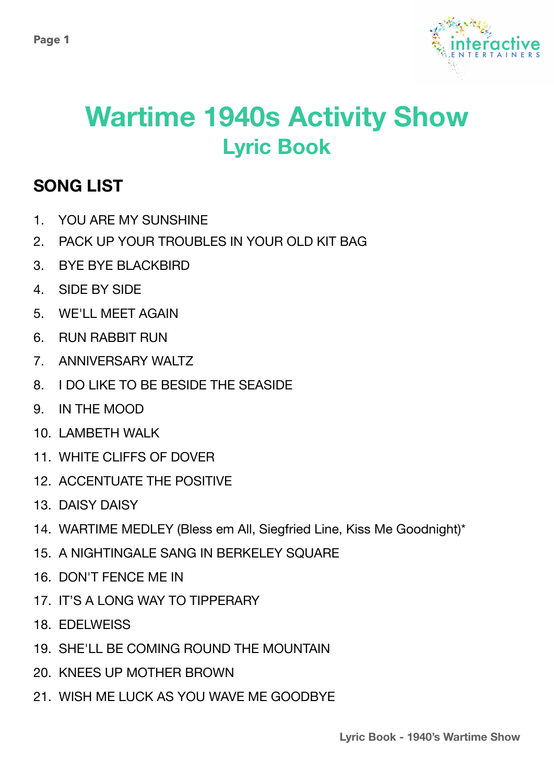

# **Wartime 1940s Activity Show Lyric Book**

#### **SONG LIST**

- 1. YOU ARE MY SUNSHINE
- 2. PACK UP YOUR TROUBLES IN YOUR OLD KIT BAG
- 3. BYE BYE BLACKBIRD
- 4. SIDE BY SIDE
- WE'LL MEET AGAIN
- 6. RUN RABBIT RUN
- $7<sup>1</sup>$ 7. ANNIVERSARY WALTZ
- 8. I DO LIKE TO BE BESIDE THE SEASIDE
- 9. IN THE MOOD
- 10. LAMBETH WALK
- 11. WHITE CLIFFS OF DOVER
- 12. ACCENTUATE THE POSITIVE
- 13. DAISY DAISY
- 14. WARTIME MEDLEY (Bless em All, Siegfried Line, Kiss Me Goodnight)\*
- 15. A NIGHTINGALE SANG IN BERKELEY SQUARE
- 16. DON'T FENCE ME IN
- 17. IT'S A LONG WAY TO TIPPERARY
- 18. EDELWEISS
- 19. SHE'LL BE COMING ROUND THE MOUNTAIN
- 20. KNEES UP MOTHER BROWN
- 21. WISH ME LUCK AS YOU WAVE ME GOODBYE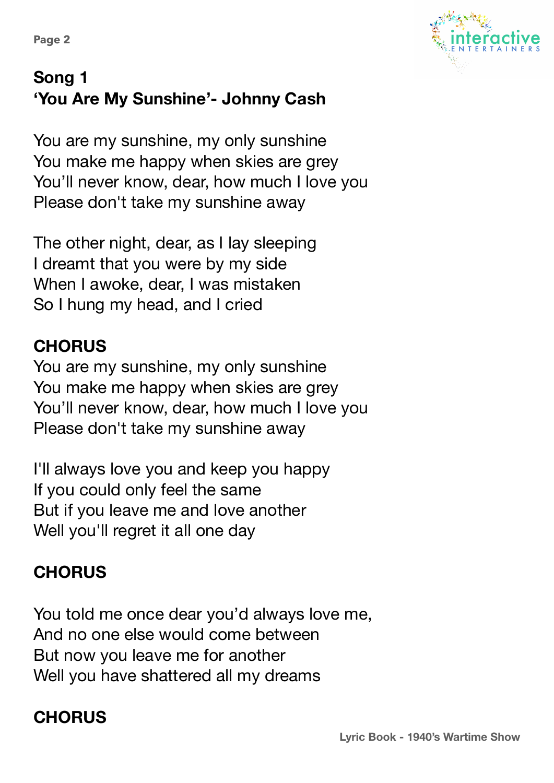**Page 2**



### **Song 1 'You Are My Sunshine'- Johnny Cash**

You are my sunshine, my only sunshine You make me happy when skies are grey You'll never know, dear, how much I love you Please don't take my sunshine away

The other night, dear, as I lay sleeping I dreamt that you were by my side When I awoke, dear, I was mistaken So I hung my head, and I cried

#### **CHORUS**

You are my sunshine, my only sunshine You make me happy when skies are grey You'll never know, dear, how much I love you Please don't take my sunshine away

I'll always love you and keep you happy If you could only feel the same But if you leave me and love another Well you'll regret it all one day

#### **CHORUS**

You told me once dear you'd always love me, And no one else would come between But now you leave me for another Well you have shattered all my dreams

#### **CHORUS**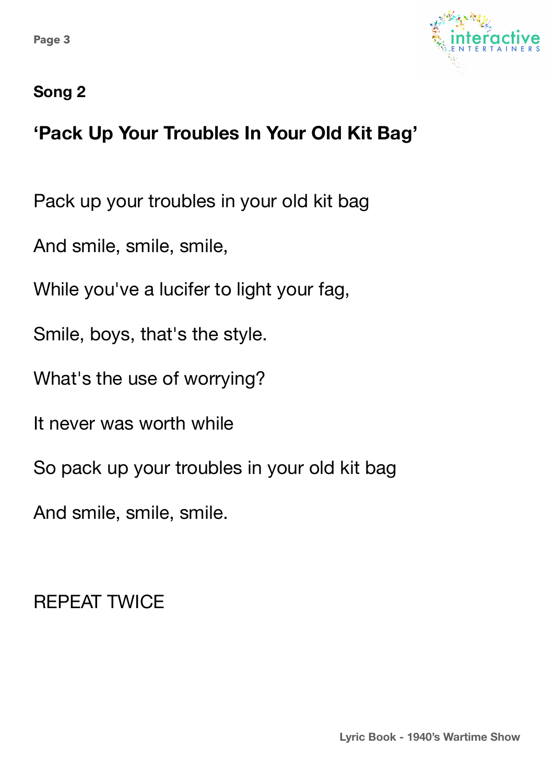

## **'Pack Up Your Troubles In Your Old Kit Bag'**

Pack up your troubles in your old kit bag

And smile, smile, smile,

While you've a [lucifer](https://en.wikipedia.org/wiki/Match#Friction_matches) to light your [fag,](https://en.wikipedia.org/wiki/Cigarette)

Smile, boys, that's the style.

What's the use of worrying?

It never was worth while

So pack up your troubles in your old kit bag

And smile, smile, smile.

REPEAT TWICE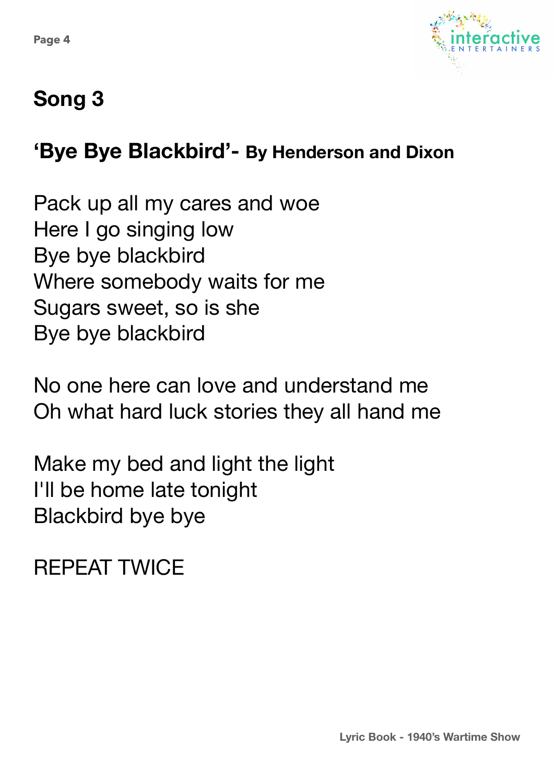

## **'Bye Bye Blackbird'- By Henderson and Dixon**

Pack up all my cares and woe Here I go singing low Bye bye blackbird Where somebody waits for me Sugars sweet, so is she Bye bye blackbird

No one here can love and understand me Oh what hard luck stories they all hand me

Make my bed and light the light I'll be home late tonight Blackbird bye bye

REPEAT TWICE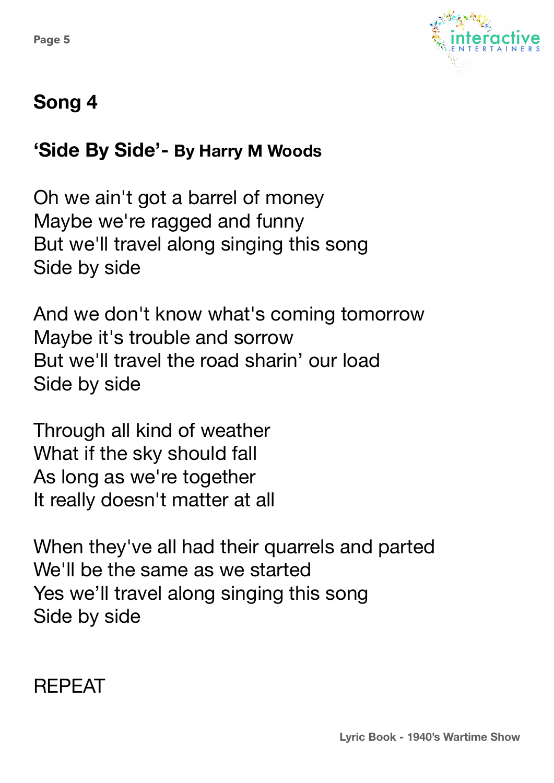

### **'Side By Side'- By Harry M Woods**

Oh we ain't got a barrel of money Maybe we're ragged and funny But we'll travel along singing this song Side by side

And we don't know what's coming tomorrow Maybe it's trouble and sorrow But we'll travel the road sharin' our load Side by side

Through all kind of weather What if the sky should fall As long as we're together It really doesn't matter at all

When they've all had their quarrels and parted We'll be the same as we started Yes we'll travel along singing this song Side by side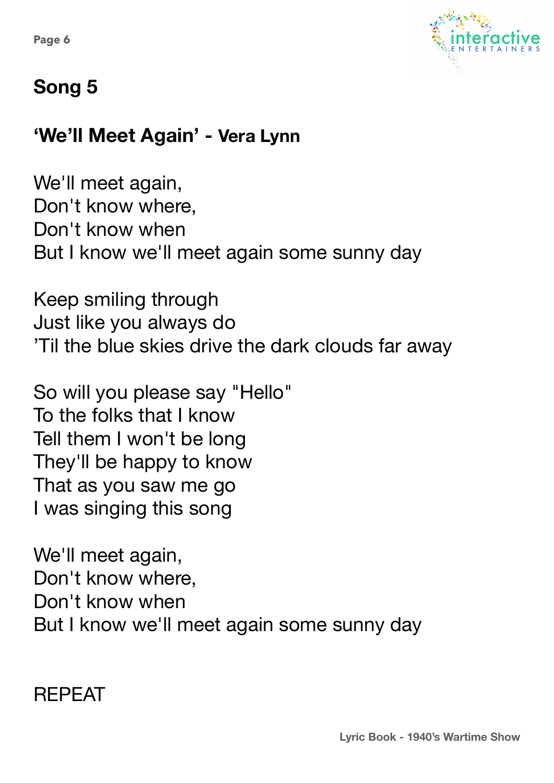

### **'We'll Meet Again' - Vera Lynn**

We'll meet again, Don't know where, Don't know when But I know we'll meet again some sunny day

Keep smiling through Just like you always do 'Til the blue skies drive the dark clouds far away

So will you please say "Hello" To the folks that I know Tell them I won't be long They'll be happy to know That as you saw me go I was singing this song

We'll meet again, Don't know where, Don't know when But I know we'll meet again some sunny day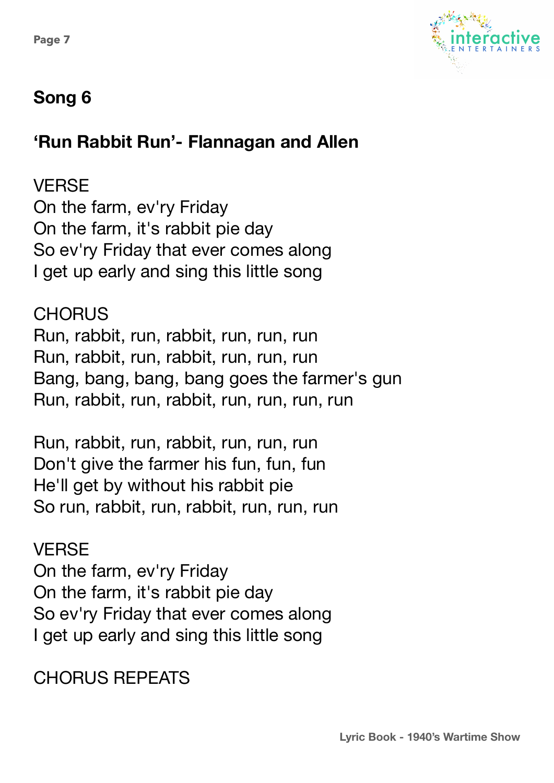

### **'Run Rabbit Run'- Flannagan and Allen**

#### **VERSE** On the farm, ev'ry Friday On the farm, it's rabbit pie day So ev'ry Friday that ever comes along I get up early and sing this little song

#### **CHORUS** Run, rabbit, run, rabbit, run, run, run Run, rabbit, run, rabbit, run, run, run Bang, bang, bang, bang goes the farmer's gun Run, rabbit, run, rabbit, run, run, run, run

Run, rabbit, run, rabbit, run, run, run Don't give the farmer his fun, fun, fun He'll get by without his rabbit pie So run, rabbit, run, rabbit, run, run, run

#### VERSE On the farm, ev'ry Friday On the farm, it's rabbit pie day So ev'ry Friday that ever comes along I get up early and sing this little song

CHORUS REPEATS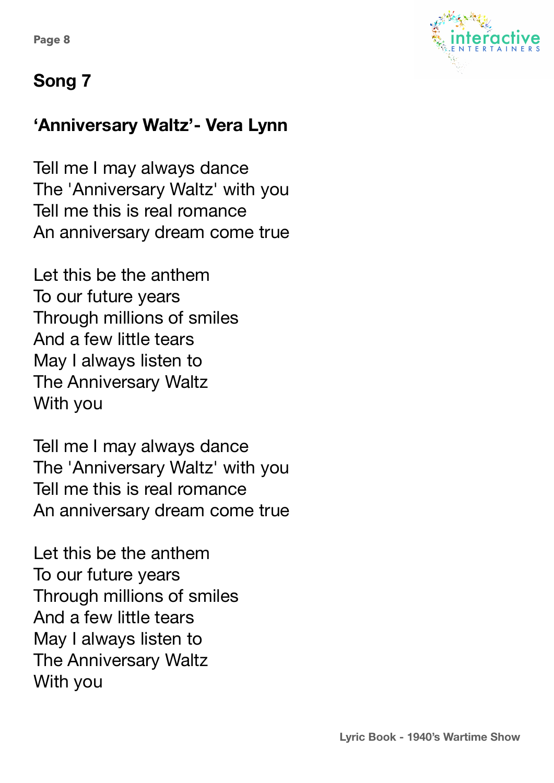

#### **'Anniversary Waltz'- Vera Lynn**

Tell me I may always dance The 'Anniversary Waltz' with you Tell me this is real romance An anniversary dream come true

Let this be the anthem To our future years Through millions of smiles And a few little tears May I always listen to The Anniversary Waltz With you

Tell me I may always dance The 'Anniversary Waltz' with you Tell me this is real romance An anniversary dream come true

Let this be the anthem To our future years Through millions of smiles And a few little tears May I always listen to The Anniversary Waltz With you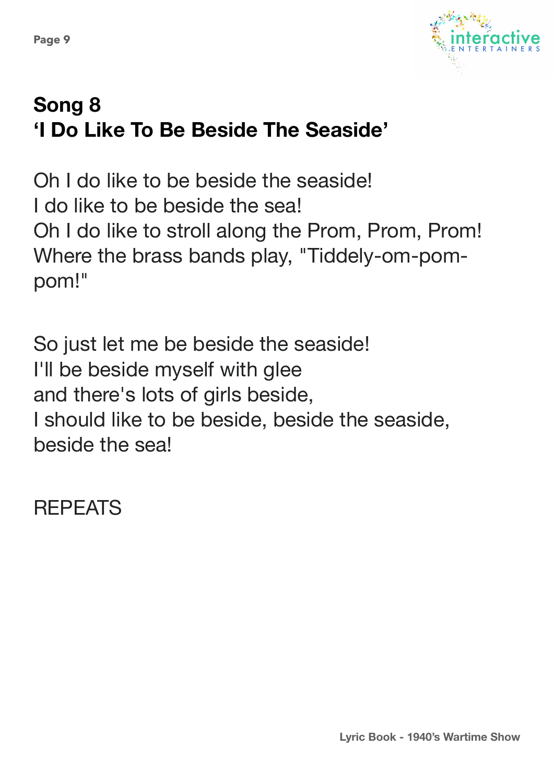

# **Song 8 'I Do Like To Be Beside The Seaside'**

Oh I do like to be beside the seaside! I do like to be beside the sea! Oh I do like to stroll along the Prom, Prom, Prom! Where the brass bands play, "Tiddely-om-pompom!"

So just let me be beside the seaside! I'll be beside myself with glee and there's lots of girls beside, I should like to be beside, beside the seaside, beside the sea!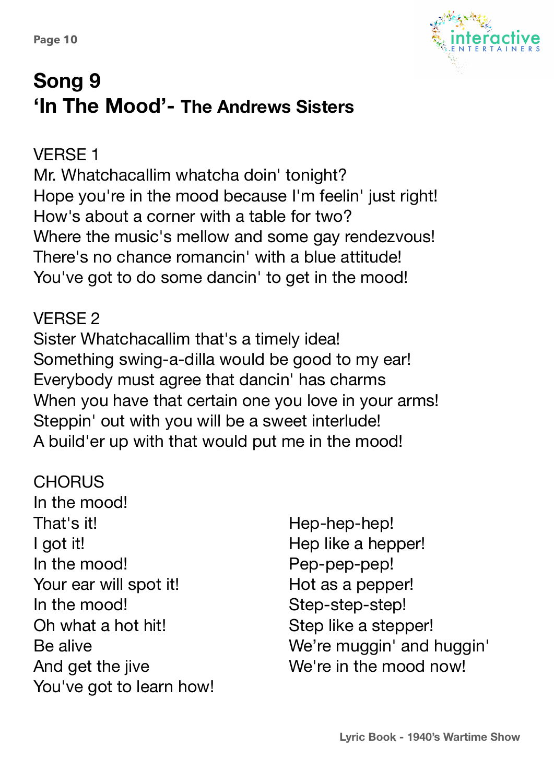

# **Song 9 'In The Mood'- The Andrews Sisters**

#### VERSE 1

Mr. Whatchacallim whatcha doin' tonight? Hope you're in the mood because I'm feelin' just right! How's about a corner with a table for two? Where the music's mellow and some gay rendezvous! There's no chance romancin' with a blue attitude! You've got to do some dancin' to get in the mood!

VERSE 2 Sister Whatchacallim that's a timely idea! Something swing-a-dilla would be good to my ear! Everybody must agree that dancin' has charms When you have that certain one you love in your arms! Steppin' out with you will be a sweet interlude! A build'er up with that would put me in the mood!

**CHORUS** In the mood! That's it! I got it! In the mood! Your ear will spot it! In the mood! Oh what a hot hit! Be alive And get the jive You've got to learn how!

Hep-hep-hep! Hep like a hepper! Pep-pep-pep! Hot as a pepper! Step-step-step! Step like a stepper! We're muggin' and huggin' We're in the mood now!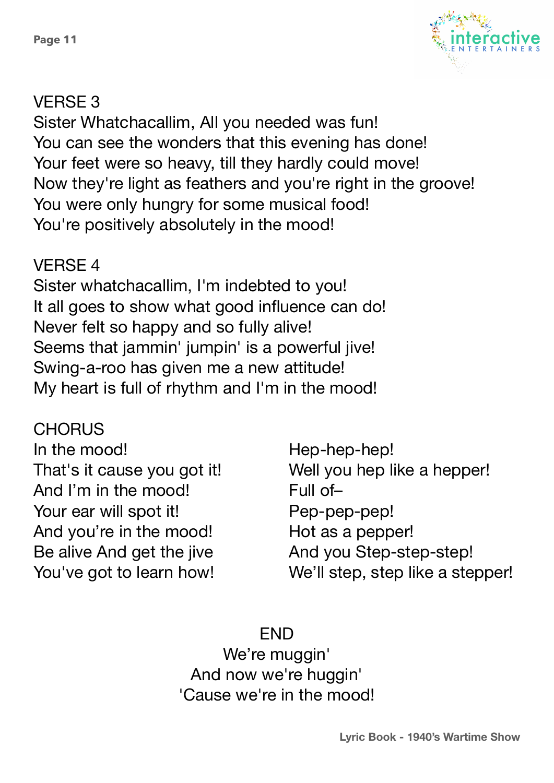

#### VERSE 3

Sister Whatchacallim, All you needed was fun! You can see the wonders that this evening has done! Your feet were so heavy, till they hardly could move! Now they're light as feathers and you're right in the groove! You were only hungry for some musical food! You're positively absolutely in the mood!

#### VERSE 4

Sister whatchacallim, I'm indebted to you! It all goes to show what good influence can do! Never felt so happy and so fully alive! Seems that jammin' jumpin' is a powerful jive! Swing-a-roo has given me a new attitude! My heart is full of rhythm and I'm in the mood!

#### **CHORUS**

In the mood! That's it cause you got it! And I'm in the mood! Your ear will spot it! And you're in the mood! Be alive And get the jive You've got to learn how!

Hep-hep-hep! Well you hep like a hepper! Full of– Pep-pep-pep! Hot as a pepper! And you Step-step-step! We'll step, step like a stepper!

#### **FND**

We're muggin' And now we're huggin' 'Cause we're in the mood!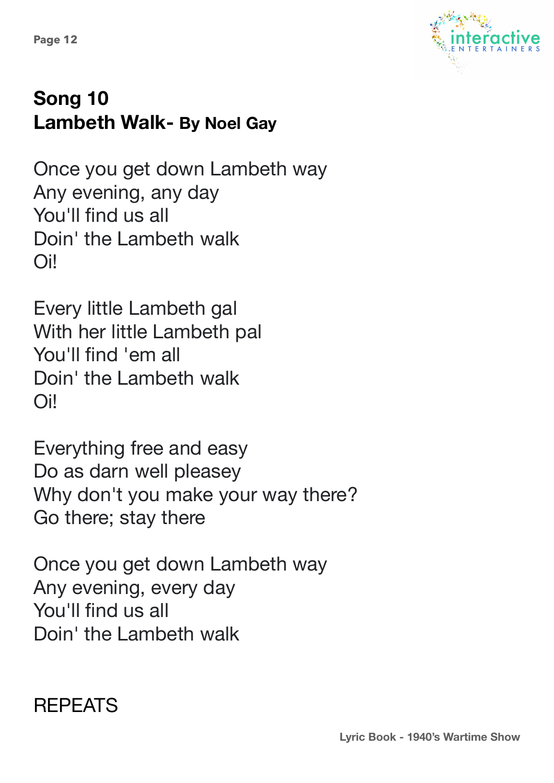

## **Song 10 Lambeth Walk- By Noel Gay**

Once you get down Lambeth way Any evening, any day You'll find us all Doin' the Lambeth walk Oi!

Every little Lambeth gal With her little Lambeth pal You'll find 'em all Doin' the Lambeth walk Oi!

Everything free and easy Do as darn well pleasey Why don't you make your way there? Go there; stay there

Once you get down Lambeth way Any evening, every day You'll find us all Doin' the Lambeth walk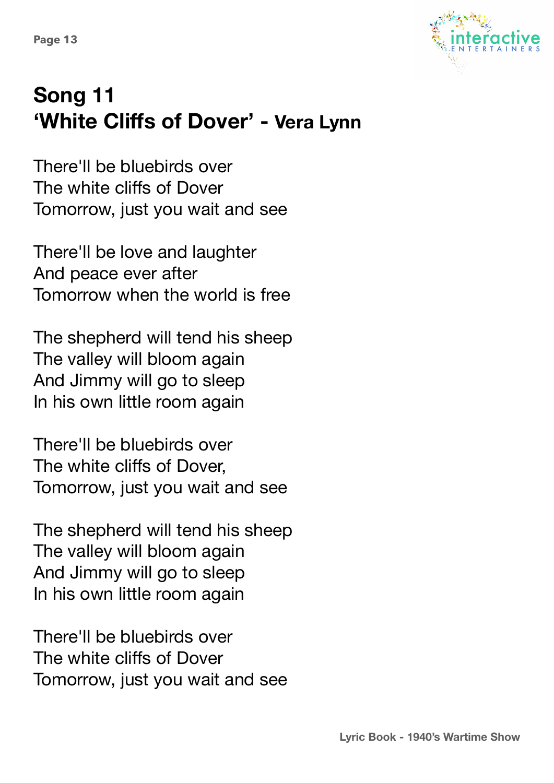**Page 13**



# **Song 11 'White Cliffs of Dover' - Vera Lynn**

There'll be bluebirds over The white cliffs of Dover Tomorrow, just you wait and see

There'll be love and laughter And peace ever after Tomorrow when the world is free

The shepherd will tend his sheep The valley will bloom again And Jimmy will go to sleep In his own little room again

There'll be bluebirds over The white cliffs of Dover, Tomorrow, just you wait and see

The shepherd will tend his sheep The valley will bloom again And Jimmy will go to sleep In his own little room again

There'll be bluebirds over The white cliffs of Dover Tomorrow, just you wait and see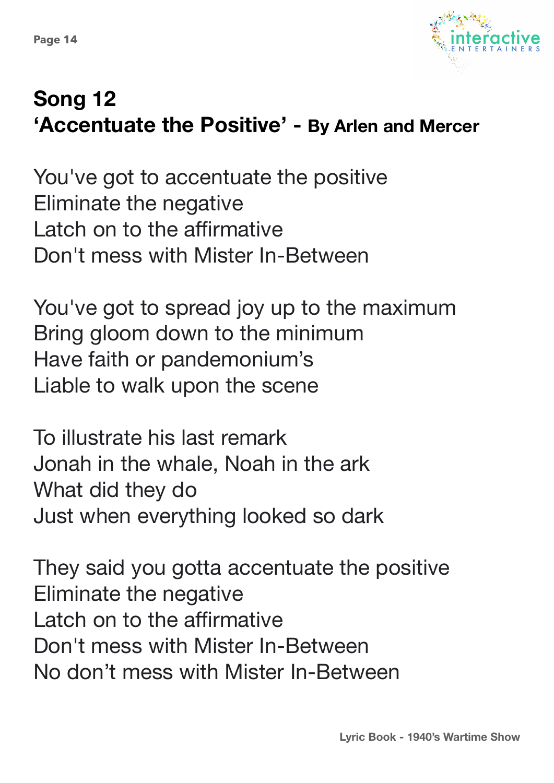

## **Song 12 'Accentuate the Positive' - By Arlen and Mercer**

You've got to accentuate the positive Eliminate the negative Latch on to the affirmative Don't mess with Mister In-Between

You've got to spread joy up to the maximum Bring gloom down to the minimum Have faith or pandemonium's Liable to walk upon the scene

To illustrate his last remark Jonah in the whale, Noah in the ark What did they do Just when everything looked so dark

They said you gotta accentuate the positive Eliminate the negative Latch on to the affirmative Don't mess with Mister In-Between No don't mess with Mister In-Between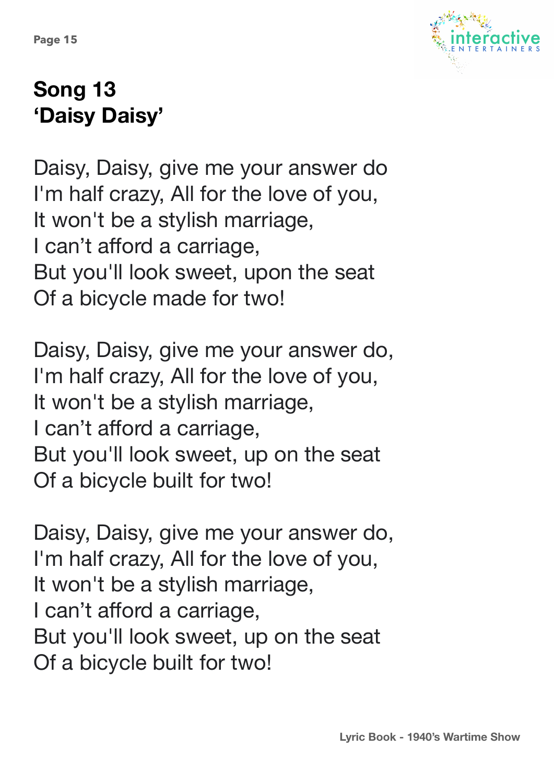

# **Song 13 'Daisy Daisy'**

Daisy, Daisy, give me your answer do I'm half crazy, All for the love of you, It won't be a stylish marriage, I can't afford a carriage, But you'll look sweet, upon the seat Of a bicycle made for two!

Daisy, Daisy, give me your answer do, I'm half crazy, All for the love of you, It won't be a stylish marriage, I can't afford a carriage, But you'll look sweet, up on the seat Of a bicycle built for two!

Daisy, Daisy, give me your answer do, I'm half crazy, All for the love of you, It won't be a stylish marriage, I can't afford a carriage, But you'll look sweet, up on the seat Of a bicycle built for two!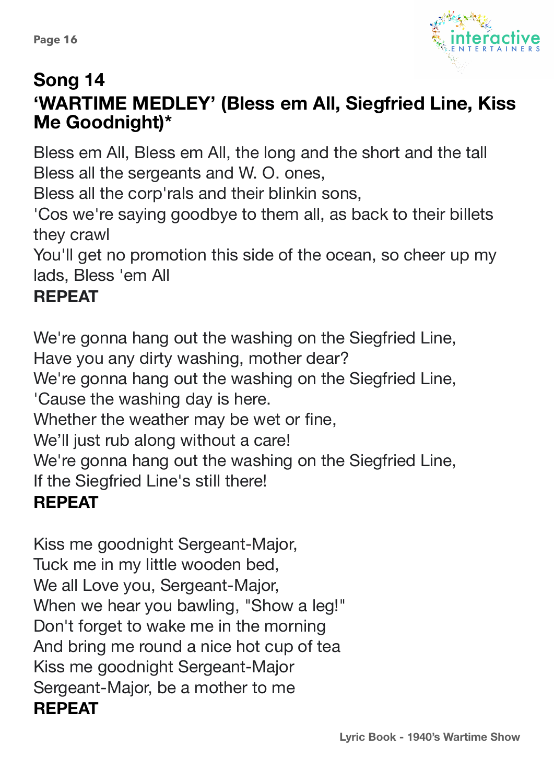

#### **Song 14 'WARTIME MEDLEY' (Bless em All, Siegfried Line, Kiss Me Goodnight)\***

Bless em All, Bless em All, the long and the short and the tall Bless all the sergeants and W. O. ones,

Bless all the corp'rals and their blinkin sons,

'Cos we're saying goodbye to them all, as back to their billets they crawl

You'll get no promotion this side of the ocean, so cheer up my lads, Bless 'em All

#### **REPEAT**

We're gonna hang out the washing on the Siegfried Line, Have you any dirty washing, mother dear? We're gonna hang out the washing on the Siegfried Line, 'Cause the washing day is here. Whether the weather may be wet or fine, We'll just rub along without a care! We're gonna hang out the washing on the Siegfried Line, If the Siegfried Line's still there! **REPEAT** 

Kiss me goodnight Sergeant-Major, Tuck me in my little wooden bed, We all Love you, Sergeant-Major, When we hear you bawling, "Show a leg!" Don't forget to wake me in the morning And bring me round a nice hot cup of tea Kiss me goodnight Sergeant-Major Sergeant-Major, be a mother to me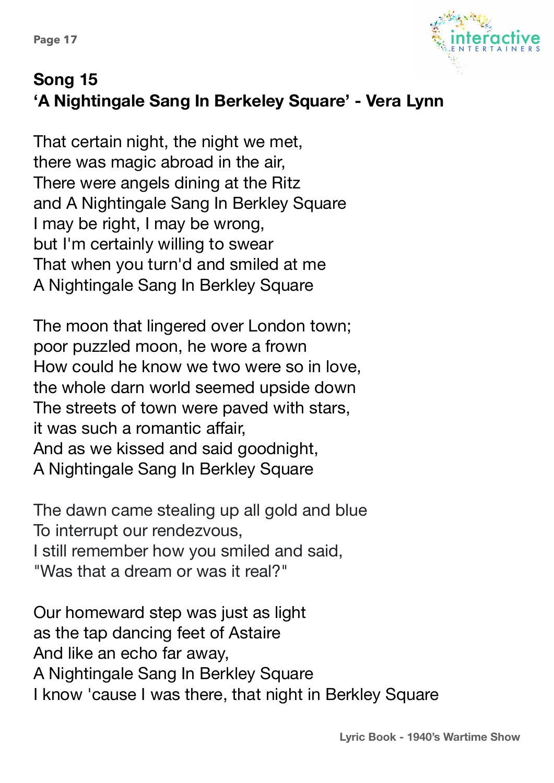**Page 17**



### **Song 15 'A Nightingale Sang In Berkeley Square' - Vera Lynn**

That certain night, the night we met, there was magic abroad in the air, There were angels dining at the Ritz and A Nightingale Sang In Berkley Square I may be right, I may be wrong, but I'm certainly willing to swear That when you turn'd and smiled at me A Nightingale Sang In Berkley Square

The moon that lingered over London town; poor puzzled moon, he wore a frown How could he know we two were so in love, the whole darn world seemed upside down The streets of town were paved with stars, it was such a romantic affair, And as we kissed and said goodnight, A Nightingale Sang In Berkley Square

The dawn came stealing up all gold and blue To interrupt our rendezvous, I still remember how you smiled and said, "Was that a dream or was it real?"

Our homeward step was just as light as the tap dancing feet of Astaire And like an echo far away, A Nightingale Sang In Berkley Square I know 'cause I was there, that night in Berkley Square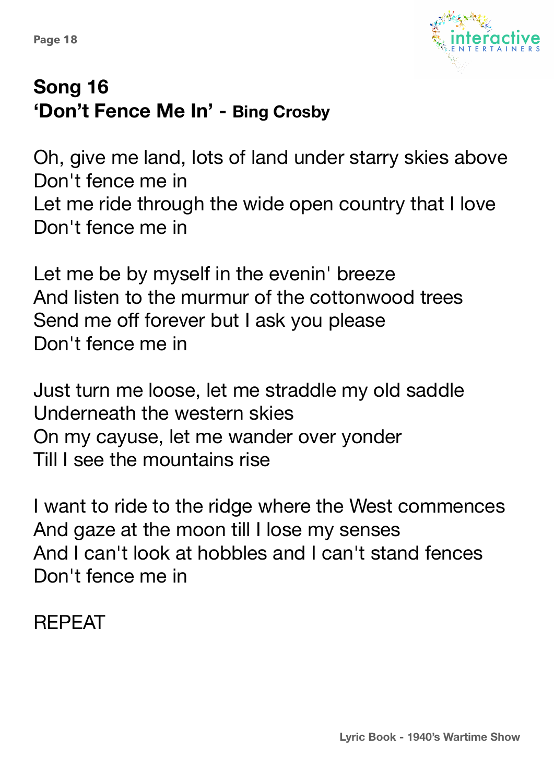

## **Song 16 'Don't Fence Me In' - Bing Crosby**

Oh, give me land, lots of land under starry skies above Don't fence me in Let me ride through the wide open country that I love Don't fence me in

Let me be by myself in the evenin' breeze And listen to the murmur of the cottonwood trees Send me off forever but I ask you please Don't fence me in

Just turn me loose, let me straddle my old saddle Underneath the western skies On my cayuse, let me wander over yonder Till I see the mountains rise

I want to ride to the ridge where the West commences And gaze at the moon till I lose my senses And I can't look at hobbles and I can't stand fences Don't fence me in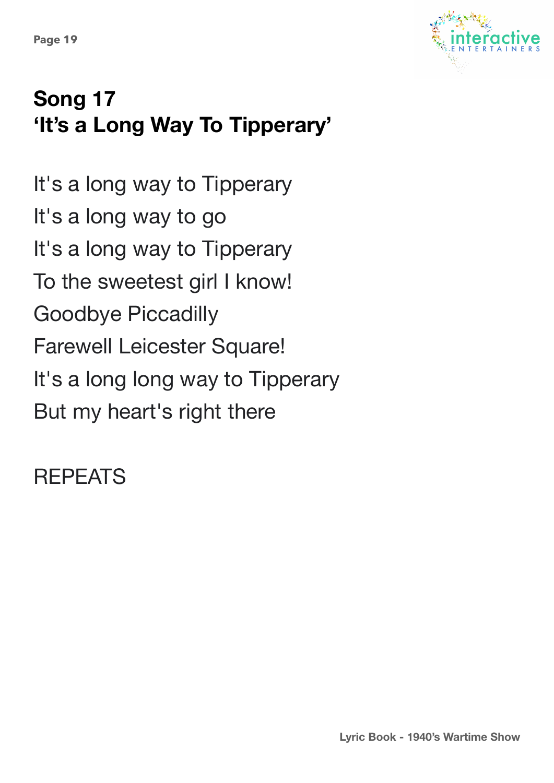

# **Song 17 'It's a Long Way To Tipperary'**

It's a long way to Tipperary It's a long way to go It's a long way to Tipperary To the sweetest girl I know! Goodbye Piccadilly Farewell Leicester Square! It's a long long way to Tipperary But my heart's right there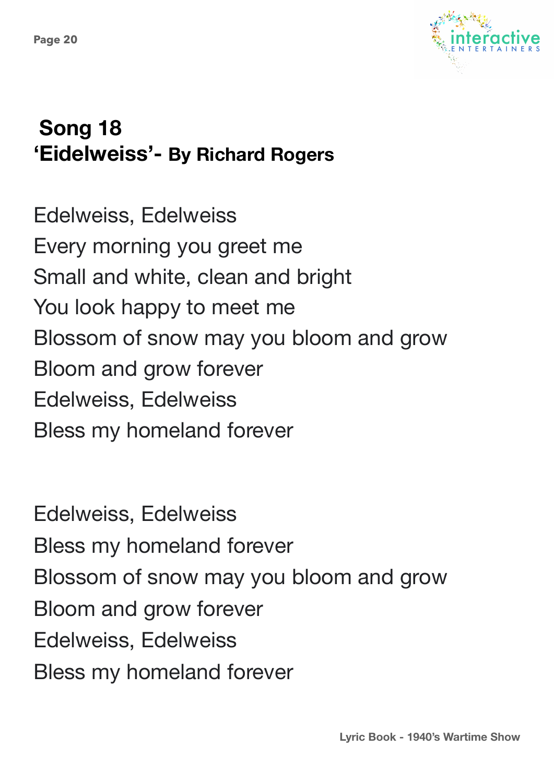

# **Song 18 'Eidelweiss'- By Richard Rogers**

Edelweiss, Edelweiss Every morning you greet me Small and white, clean and bright You look happy to meet me Blossom of snow may you bloom and grow Bloom and grow forever Edelweiss, Edelweiss Bless my homeland forever

Edelweiss, Edelweiss Bless my homeland forever Blossom of snow may you bloom and grow Bloom and grow forever Edelweiss, Edelweiss Bless my homeland forever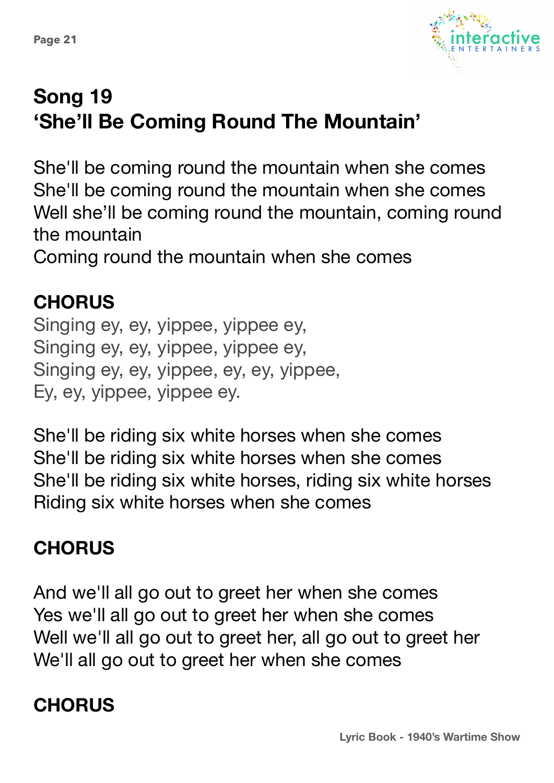

# **Song 19 'She'll Be Coming Round The Mountain'**

She'll be coming round the mountain when she comes She'll be coming round the mountain when she comes Well she'll be coming round the mountain, coming round the mountain

Coming round the mountain when she comes

#### **CHORUS**

Singing ey, ey, yippee, yippee ey, Singing ey, ey, yippee, yippee ey, Singing ey, ey, yippee, ey, ey, yippee, Ey, ey, yippee, yippee ey.

She'll be riding six white horses when she comes She'll be riding six white horses when she comes She'll be riding six white horses, riding six white horses Riding six white horses when she comes

### **CHORUS**

And we'll all go out to greet her when she comes Yes we'll all go out to greet her when she comes Well we'll all go out to greet her, all go out to greet her We'll all go out to greet her when she comes

## **CHORUS**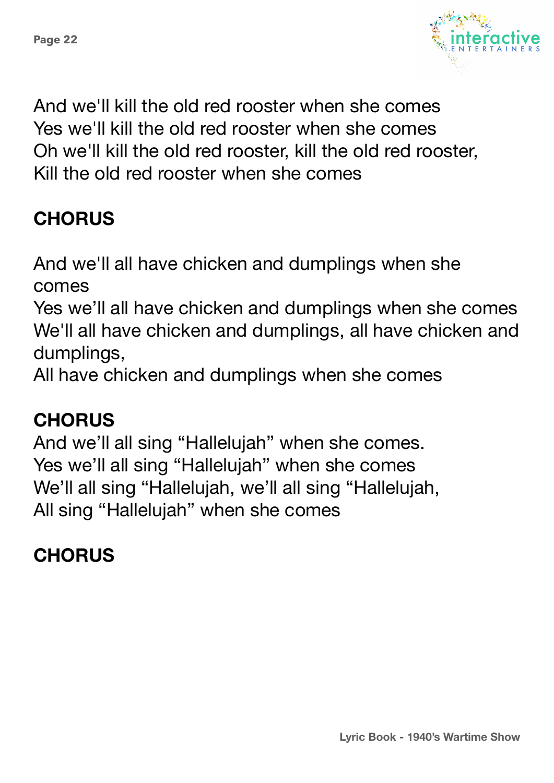

And we'll kill the old red rooster when she comes Yes we'll kill the old red rooster when she comes Oh we'll kill the old red rooster, kill the old red rooster, Kill the old red rooster when she comes

### **CHORUS**

And we'll all have chicken and dumplings when she comes

Yes we'll all have chicken and dumplings when she comes We'll all have chicken and dumplings, all have chicken and dumplings,

All have chicken and dumplings when she comes

### **CHORUS**

And we'll all sing "Hallelujah" when she comes. Yes we'll all sing "Hallelujah" when she comes We'll all sing "Hallelujah, we'll all sing "Hallelujah, All sing "Hallelujah" when she comes

### **CHORUS**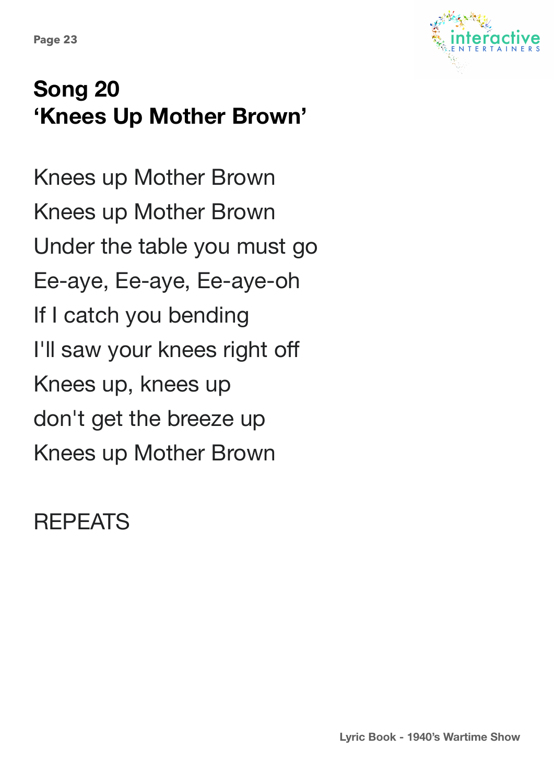

# **Song 20 'Knees Up Mother Brown'**

Knees up Mother Brown Knees up Mother Brown Under the table you must go Ee-aye, Ee-aye, Ee-aye-oh If I catch you bending I'll saw your knees right off Knees up, knees up don't get the breeze up Knees up Mother Brown